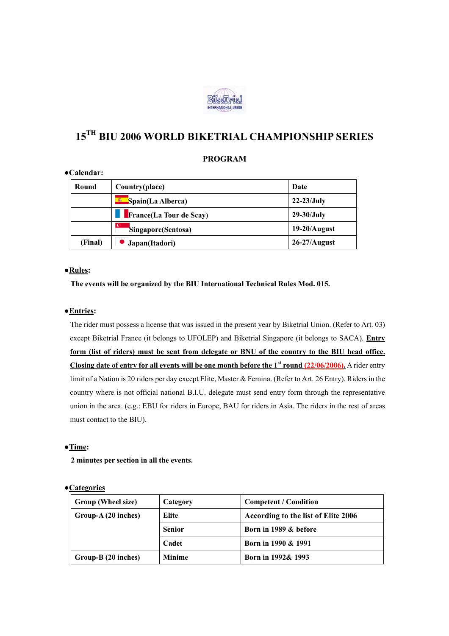

# **15TH BIU 2006 WORLD BIKETRIAL CHAMPIONSHIP SERIES**

## **PROGRAM**

## **●Calendar:**

| Round   | Country(place)                  | Date            |
|---------|---------------------------------|-----------------|
|         | <b>E</b> Spain(La Alberca)      | $22-23$ /July   |
|         | <b>France</b> (La Tour de Scay) | $29-30$ /July   |
|         | Singapore(Sentosa)              | $19-20/A$ ugust |
| (Final) | Japan(Itadori)                  | $26-27/A$ ugust |

## ●**Rules:**

 **The events will be organized by the BIU International Technical Rules Mod. 015.** 

## ●**Entries:**

 The rider must possess a license that was issued in the present year by Biketrial Union. (Refer to Art. 03) except Biketrial France (it belongs to UFOLEP) and Biketrial Singapore (it belongs to SACA). **Entry form (list of riders) must be sent from delegate or BNU of the country to the BIU head office. Closing date of entry for all events will be one month before the 1st round (22/06/2006).** A rider entry limit of a Nation is 20 riders per day except Elite, Master & Femina. (Refer to Art. 26 Entry). Riders in the country where is not official national B.I.U. delegate must send entry form through the representative union in the area. (e.g.: EBU for riders in Europe, BAU for riders in Asia. The riders in the rest of areas must contact to the BIU).

#### ●**Time:**

 **2 minutes per section in all the events.** 

#### ●**Categories**

| Group (Wheel size)  | Category      | <b>Competent / Condition</b>        |
|---------------------|---------------|-------------------------------------|
| Group-A (20 inches) | Elite         | According to the list of Elite 2006 |
|                     | <b>Senior</b> | Born in 1989 & before               |
|                     | Cadet         | Born in 1990 & 1991                 |
| Group-B (20 inches) | <b>Minime</b> | Born in 1992& 1993                  |